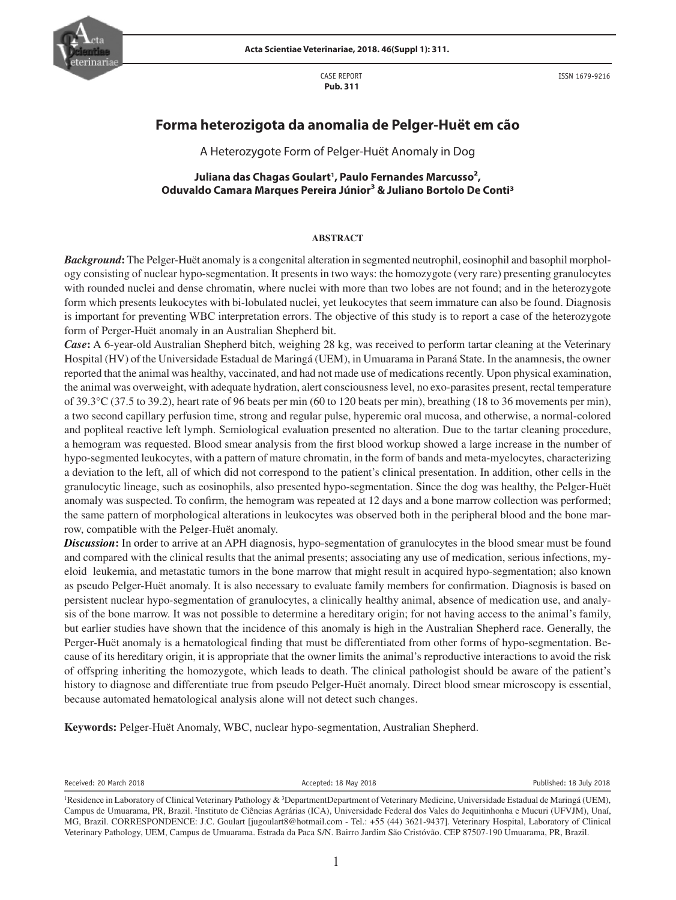

CASE REPORT  **Pub. 311**



ISSN 1679-9216

# **Forma heterozigota da anomalia de Pelger-Huët em cão**

A Heterozygote Form of Pelger-Huët Anomaly in Dog

**Juliana das Chagas Goulart1 , Paulo Fernandes Marcusso2, Oduvaldo Camara Marques Pereira Júnior3 & Juliano Bortolo De Conti3**

#### **ABSTRACT**

*Background***:** The Pelger-Huët anomaly is a congenital alteration in segmented neutrophil, eosinophil and basophil morphology consisting of nuclear hypo-segmentation. It presents in two ways: the homozygote (very rare) presenting granulocytes with rounded nuclei and dense chromatin, where nuclei with more than two lobes are not found; and in the heterozygote form which presents leukocytes with bi-lobulated nuclei, yet leukocytes that seem immature can also be found. Diagnosis is important for preventing WBC interpretation errors. The objective of this study is to report a case of the heterozygote form of Perger-Huët anomaly in an Australian Shepherd bit.

*Case***:** A 6-year-old Australian Shepherd bitch, weighing 28 kg, was received to perform tartar cleaning at the Veterinary Hospital (HV) of the Universidade Estadual de Maringá (UEM), in Umuarama in Paraná State. In the anamnesis, the owner reported that the animal was healthy, vaccinated, and had not made use of medications recently. Upon physical examination, the animal was overweight, with adequate hydration, alert consciousness level, no exo-parasites present, rectal temperature of 39.3°C (37.5 to 39.2), heart rate of 96 beats per min (60 to 120 beats per min), breathing (18 to 36 movements per min), a two second capillary perfusion time, strong and regular pulse, hyperemic oral mucosa, and otherwise, a normal-colored and popliteal reactive left lymph. Semiological evaluation presented no alteration. Due to the tartar cleaning procedure, a hemogram was requested. Blood smear analysis from the first blood workup showed a large increase in the number of hypo-segmented leukocytes, with a pattern of mature chromatin, in the form of bands and meta-myelocytes, characterizing a deviation to the left, all of which did not correspond to the patient's clinical presentation. In addition, other cells in the granulocytic lineage, such as eosinophils, also presented hypo-segmentation. Since the dog was healthy, the Pelger-Huët anomaly was suspected. To confirm, the hemogram was repeated at 12 days and a bone marrow collection was performed; the same pattern of morphological alterations in leukocytes was observed both in the peripheral blood and the bone marrow, compatible with the Pelger-Huët anomaly.

*Discussion***:** In order to arrive at an APH diagnosis, hypo-segmentation of granulocytes in the blood smear must be found and compared with the clinical results that the animal presents; associating any use of medication, serious infections, myeloid leukemia, and metastatic tumors in the bone marrow that might result in acquired hypo-segmentation; also known as pseudo Pelger-Huët anomaly. It is also necessary to evaluate family members for confirmation. Diagnosis is based on persistent nuclear hypo-segmentation of granulocytes, a clinically healthy animal, absence of medication use, and analysis of the bone marrow. It was not possible to determine a hereditary origin; for not having access to the animal's family, but earlier studies have shown that the incidence of this anomaly is high in the Australian Shepherd race. Generally, the Perger-Huët anomaly is a hematological finding that must be differentiated from other forms of hypo-segmentation. Because of its hereditary origin, it is appropriate that the owner limits the animal's reproductive interactions to avoid the risk of offspring inheriting the homozygote, which leads to death. The clinical pathologist should be aware of the patient's history to diagnose and differentiate true from pseudo Pelger-Huët anomaly. Direct blood smear microscopy is essential, because automated hematological analysis alone will not detect such changes.

**Keywords:** Pelger-Huët Anomaly, WBC, nuclear hypo-segmentation, Australian Shepherd.

Received: 20 March 2018 **Accepted: 18 May 2018** Accepted: 18 May 2018 **Published: 18 July 2018** 

<sup>&</sup>lt;sup>1</sup>Residence in Laboratory of Clinical Veterinary Pathology & <sup>3</sup>DepartmentDepartment of Veterinary Medicine, Universidade Estadual de Maringá (UEM), Campus de Umuarama, PR, Brazil. <sup>2</sup>Instituto de Ciências Agrárias (ICA), Universidade Federal dos Vales do Jequitinhonha e Mucuri (UFVJM), Unaí, MG, Brazil. CORRESPONDENCE: J.C. Goulart [jugoulart8@hotmail.com - Tel.: +55 (44) 3621-9437]. Veterinary Hospital, Laboratory of Clinical Veterinary Pathology, UEM, Campus de Umuarama. Estrada da Paca S/N. Bairro Jardim São Cristóvão. CEP 87507-190 Umuarama, PR, Brazil.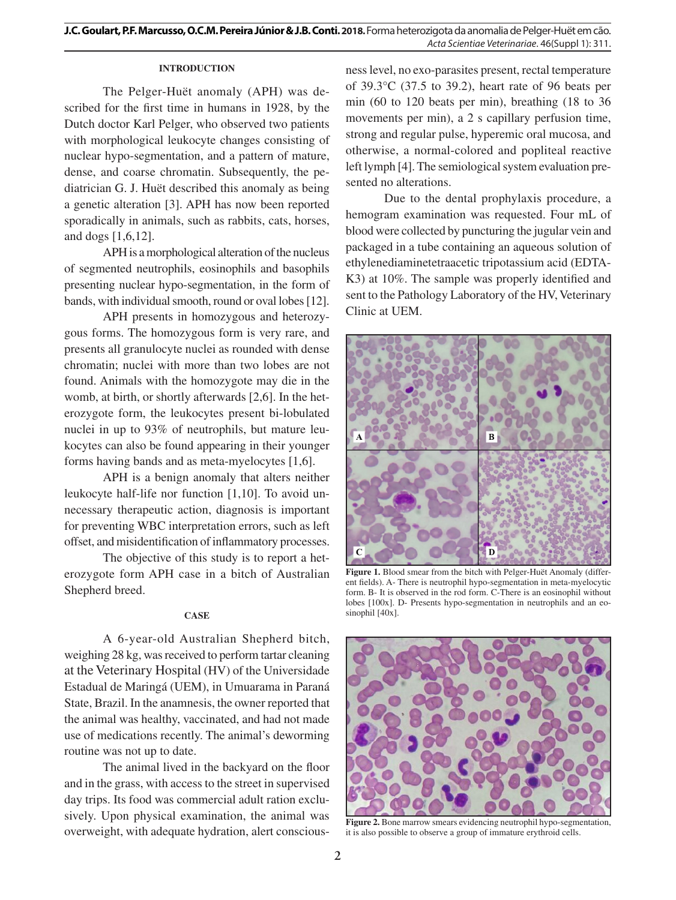# **INTRODUCTION**

The Pelger-Huët anomaly (APH) was described for the first time in humans in 1928, by the Dutch doctor Karl Pelger, who observed two patients with morphological leukocyte changes consisting of nuclear hypo-segmentation, and a pattern of mature, dense, and coarse chromatin. Subsequently, the pediatrician G. J. Huët described this anomaly as being a genetic alteration [3]. APH has now been reported sporadically in animals, such as rabbits, cats, horses, and dogs [1,6,12].

APH is a morphological alteration of the nucleus of segmented neutrophils, eosinophils and basophils presenting nuclear hypo-segmentation, in the form of bands, with individual smooth, round or oval lobes [12].

APH presents in homozygous and heterozygous forms. The homozygous form is very rare, and presents all granulocyte nuclei as rounded with dense chromatin; nuclei with more than two lobes are not found. Animals with the homozygote may die in the womb, at birth, or shortly afterwards [2,6]. In the heterozygote form, the leukocytes present bi-lobulated nuclei in up to 93% of neutrophils, but mature leukocytes can also be found appearing in their younger forms having bands and as meta-myelocytes [1,6].

APH is a benign anomaly that alters neither leukocyte half-life nor function [1,10]. To avoid unnecessary therapeutic action, diagnosis is important for preventing WBC interpretation errors, such as left offset, and misidentification of inflammatory processes.

The objective of this study is to report a heterozygote form APH case in a bitch of Australian Shepherd breed.

## **CASE**

A 6-year-old Australian Shepherd bitch, weighing 28 kg, was received to perform tartar cleaning at the Veterinary Hospital (HV) of the Universidade Estadual de Maringá (UEM), in Umuarama in Paraná State, Brazil. In the anamnesis, the owner reported that the animal was healthy, vaccinated, and had not made use of medications recently. The animal's deworming routine was not up to date.

The animal lived in the backyard on the floor and in the grass, with access to the street in supervised day trips. Its food was commercial adult ration exclusively. Upon physical examination, the animal was overweight, with adequate hydration, alert consciousness level, no exo-parasites present, rectal temperature of 39.3°C (37.5 to 39.2), heart rate of 96 beats per min (60 to 120 beats per min), breathing (18 to 36 movements per min), a 2 s capillary perfusion time, strong and regular pulse, hyperemic oral mucosa, and otherwise, a normal-colored and popliteal reactive left lymph [4]. The semiological system evaluation presented no alterations.

Due to the dental prophylaxis procedure, a hemogram examination was requested. Four mL of blood were collected by puncturing the jugular vein and packaged in a tube containing an aqueous solution of ethylenediaminetetraacetic tripotassium acid (EDTA-K3) at 10%. The sample was properly identified and sent to the Pathology Laboratory of the HV, Veterinary Clinic at UEM.



**Figure 1.** Blood smear from the bitch with Pelger-Huët Anomaly (different fields). A- There is neutrophil hypo-segmentation in meta-myelocytic form. B- It is observed in the rod form. C-There is an eosinophil without lobes [100x]. D- Presents hypo-segmentation in neutrophils and an eosinophil [40x].



**Figure 2.** Bone marrow smears evidencing neutrophil hypo-segmentation, it is also possible to observe a group of immature erythroid cells.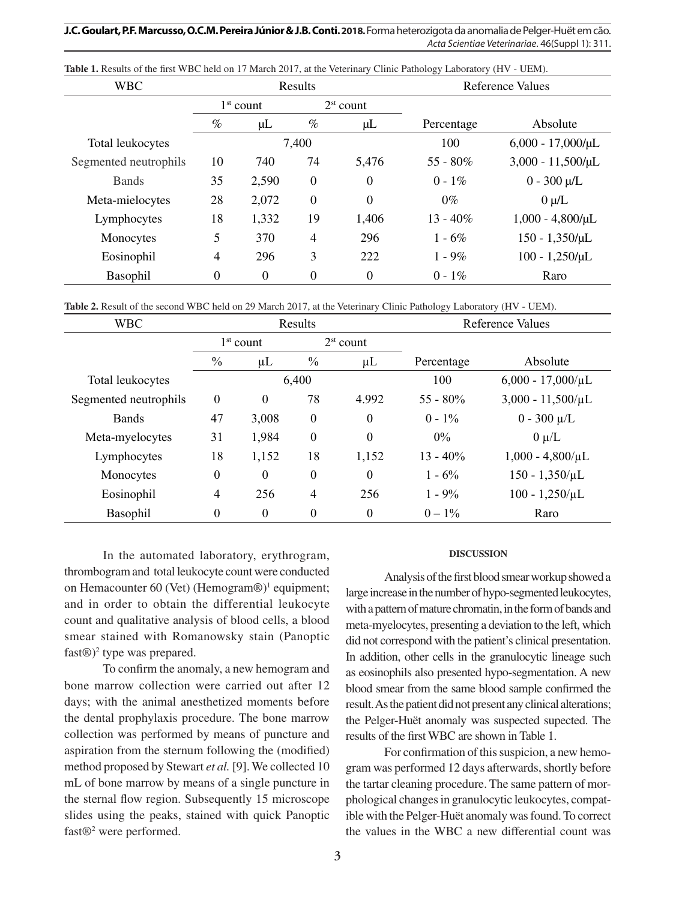**J.C. Goulart, P.F. Marcusso, O.C.M. Pereira Júnior & J.B. Conti. 2018.** Forma heterozigota da anomalia de Pelger-Huët em cão. *Acta Scientiae Veterinariae*. 46(Suppl 1): 311.

| <b>WBC</b>            |                |                  | Results          |              | <b>Reference Values</b> |                        |
|-----------------------|----------------|------------------|------------------|--------------|-------------------------|------------------------|
|                       | $1st$ count    |                  | $2st$ count      |              |                         |                        |
|                       | $\%$           | μL               | $\%$             | $\mu$ L      | Percentage              | Absolute               |
| Total leukocytes      |                |                  | 7,400            |              | 100                     | $6,000 - 17,000/\mu L$ |
| Segmented neutrophils | 10             | 740              | 74               | 5,476        | $55 - 80\%$             | $3,000 - 11,500/\mu L$ |
| <b>Bands</b>          | 35             | 2,590            | $\boldsymbol{0}$ | $\theta$     | $0 - 1\%$               | $0 - 300 \mu/L$        |
| Meta-mielocytes       | 28             | 2,072            | $\overline{0}$   | $\mathbf{0}$ | $0\%$                   | $0 \mu/L$              |
| Lymphocytes           | 18             | 1,332            | 19               | 1,406        | $13 - 40\%$             | $1,000 - 4,800/\mu L$  |
| Monocytes             | 5              | 370              | $\overline{4}$   | 296          | $1 - 6\%$               | $150 - 1,350/\mu L$    |
| Eosinophil            | $\overline{4}$ | 296              | 3                | 222          | $1 - 9\%$               | $100 - 1,250/\mu L$    |
| Basophil              | $\overline{0}$ | $\boldsymbol{0}$ | $\boldsymbol{0}$ | $\theta$     | $0 - 1\%$               | Raro                   |

Table 1. Results of the first WBC held on 17 March 2017, at the Veterinary Clinic Pathology Laboratory (HV - UEM).

Table 2. Result of the second WBC held on 29 March 2017, at the Veterinary Clinic Pathology Laboratory (HV - UEM).

| <b>WBC</b>            |                  |                  | Results          |                  | Reference Values |                        |
|-----------------------|------------------|------------------|------------------|------------------|------------------|------------------------|
|                       | $1st$ count      |                  | $2st$ count      |                  |                  |                        |
|                       | $\frac{0}{0}$    | $\mu$ L          | $\frac{0}{0}$    | $\mu$ L          | Percentage       | Absolute               |
| Total leukocytes      |                  |                  | 6,400            |                  | 100              | $6,000 - 17,000/\mu L$ |
| Segmented neutrophils | $\boldsymbol{0}$ | $\boldsymbol{0}$ | 78               | 4.992            | $55 - 80\%$      | $3,000 - 11,500/\mu L$ |
| <b>Bands</b>          | 47               | 3,008            | $\boldsymbol{0}$ | $\theta$         | $0 - 1\%$        | $0 - 300 \mu/L$        |
| Meta-myelocytes       | 31               | 1,984            | $\boldsymbol{0}$ | $\boldsymbol{0}$ | $0\%$            | $0 \mu/L$              |
| Lymphocytes           | 18               | 1,152            | 18               | 1,152            | $13 - 40\%$      | $1,000 - 4,800/\mu L$  |
| Monocytes             | $\boldsymbol{0}$ | $\boldsymbol{0}$ | $\boldsymbol{0}$ | $\theta$         | $1 - 6\%$        | $150 - 1,350/\mu L$    |
| Eosinophil            | $\overline{4}$   | 256              | $\overline{4}$   | 256              | $1 - 9\%$        | $100 - 1,250/\mu L$    |
| Basophil              | $\boldsymbol{0}$ | $\boldsymbol{0}$ | $\boldsymbol{0}$ | $\boldsymbol{0}$ | $0 - 1\%$        | Raro                   |

In the automated laboratory, erythrogram, thrombogram and total leukocyte count were conducted on Hemacounter 60 (Vet) (Hemogram $\mathcal{D}$ <sup>1</sup> equipment; and in order to obtain the differential leukocyte count and qualitative analysis of blood cells, a blood smear stained with Romanowsky stain (Panoptic fast $\circledR$ <sup>2</sup> type was prepared.

To confirm the anomaly, a new hemogram and bone marrow collection were carried out after 12 days; with the animal anesthetized moments before the dental prophylaxis procedure. The bone marrow collection was performed by means of puncture and aspiration from the sternum following the (modified) method proposed by Stewart *et al.* [9]. We collected 10 mL of bone marrow by means of a single puncture in the sternal flow region. Subsequently 15 microscope slides using the peaks, stained with quick Panoptic fast<sup>®2</sup> were performed.

#### **DISCUSSION**

Analysis of the first blood smear workup showed a large increase in the number of hypo-segmented leukocytes, with a pattern of mature chromatin, in the form of bands and meta-myelocytes, presenting a deviation to the left, which did not correspond with the patient's clinical presentation. In addition, other cells in the granulocytic lineage such as eosinophils also presented hypo-segmentation. A new blood smear from the same blood sample confirmed the result.As the patient did not present any clinical alterations; the Pelger-Huët anomaly was suspected supected. The results of the first WBC are shown in Table 1.

For confirmation of this suspicion, a new hemogram was performed 12 days afterwards, shortly before the tartar cleaning procedure. The same pattern of morphological changes in granulocytic leukocytes, compatible with the Pelger-Huët anomaly was found. To correct the values in the WBC a new differential count was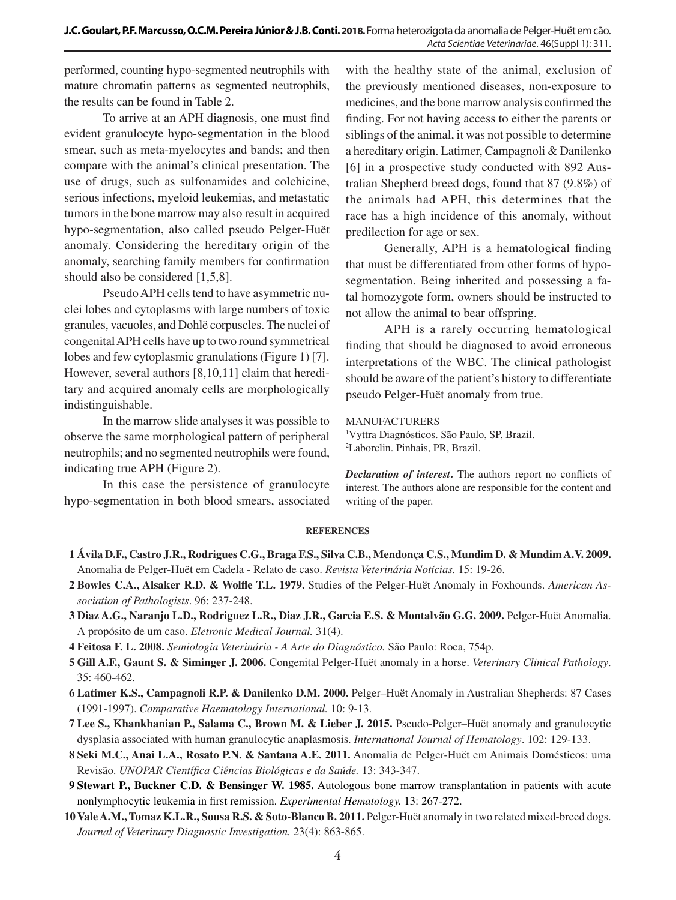performed, counting hypo-segmented neutrophils with mature chromatin patterns as segmented neutrophils, the results can be found in Table 2.

To arrive at an APH diagnosis, one must find evident granulocyte hypo-segmentation in the blood smear, such as meta-myelocytes and bands; and then compare with the animal's clinical presentation. The use of drugs, such as sulfonamides and colchicine, serious infections, myeloid leukemias, and metastatic tumors in the bone marrow may also result in acquired hypo-segmentation, also called pseudo Pelger-Huët anomaly. Considering the hereditary origin of the anomaly, searching family members for confirmation should also be considered [1,5,8].

Pseudo APH cells tend to have asymmetric nuclei lobes and cytoplasms with large numbers of toxic granules, vacuoles, and Dohlë corpuscles. The nuclei of congenital APH cells have up to two round symmetrical lobes and few cytoplasmic granulations (Figure 1) [7]. However, several authors [8,10,11] claim that hereditary and acquired anomaly cells are morphologically indistinguishable.

In the marrow slide analyses it was possible to observe the same morphological pattern of peripheral neutrophils; and no segmented neutrophils were found, indicating true APH (Figure 2).

In this case the persistence of granulocyte hypo-segmentation in both blood smears, associated

with the healthy state of the animal, exclusion of the previously mentioned diseases, non-exposure to medicines, and the bone marrow analysis confirmed the finding. For not having access to either the parents or siblings of the animal, it was not possible to determine a hereditary origin. Latimer, Campagnoli & Danilenko [6] in a prospective study conducted with 892 Australian Shepherd breed dogs, found that 87 (9.8%) of the animals had APH, this determines that the race has a high incidence of this anomaly, without predilection for age or sex.

Generally, APH is a hematological finding that must be differentiated from other forms of hyposegmentation. Being inherited and possessing a fatal homozygote form, owners should be instructed to not allow the animal to bear offspring.

APH is a rarely occurring hematological finding that should be diagnosed to avoid erroneous interpretations of the WBC. The clinical pathologist should be aware of the patient's history to differentiate pseudo Pelger-Huët anomaly from true.

## MANUFACTURERS

1 Vyttra Diagnósticos. São Paulo, SP, Brazil. 2 Laborclin. Pinhais, PR, Brazil.

*Declaration of interest***.** The authors report no conflicts of interest. The authors alone are responsible for the content and writing of the paper.

## **REFERENCES**

- **1 Ávila D.F., Castro J.R., Rodrigues C.G., Braga F.S., Silva C.B., Mendonça C.S., Mundim D. & Mundim A.V. 2009.** Anomalia de Pelger-Huët em Cadela - Relato de caso. *Revista Veterinária Notícias.* 15: 19-26.
- **2 Bowles C.A., Alsaker R.D. & Wolfle T.L. 1979.** Studies of the Pelger-Huët Anomaly in Foxhounds. *American Association of Pathologists*. 96: 237-248.
- **3 Diaz A.G., Naranjo L.D., Rodriguez L.R., Diaz J.R., Garcia E.S. & Montalvão G.G. 2009.** Pelger-Huët Anomalia. A propósito de um caso. *Eletronic Medical Journal.* 31(4).
- **4 Feitosa F. L. 2008.** *Semiologia Veterinária A Arte do Diagnóstico.* São Paulo: Roca, 754p.
- **5 Gill A.F., Gaunt S. & Siminger J. 2006.** Congenital Pelger-Huët anomaly in a horse. *Veterinary Clinical Pathology*. 35: 460-462.
- **6 Latimer K.S., Campagnoli R.P. & Danilenko D.M. 2000.** Pelger–Huët Anomaly in Australian Shepherds: 87 Cases (1991-1997). *Comparative Haematology International.* 10: 9-13.
- **7 Lee S., Khankhanian P., Salama C., Brown M. & Lieber J. 2015.** Pseudo‑Pelger–Huët anomaly and granulocytic dysplasia associated with human granulocytic anaplasmosis. *International Journal of Hematology*. 102: 129-133.
- **8 Seki M.C., Anai L.A., Rosato P.N. & Santana A.E. 2011.** Anomalia de Pelger-Huët em Animais Domésticos: uma Revisão. *UNOPAR Científica Ciências Biológicas e da Saúde.* 13: 343-347.
- **9 Stewart P., Buckner C.D. & Bensinger W. 1985.** Autologous bone marrow transplantation in patients with acute nonlymphocytic leukemia in first remission. *Experimental Hematology.* 13: 267-272.
- **10Vale A.M., Tomaz K.L.R., Sousa R.S. & Soto-Blanco B. 2011.** Pelger-Huët anomaly in two related mixed-breed dogs. *Journal of Veterinary Diagnostic Investigation.* 23(4): 863-865.